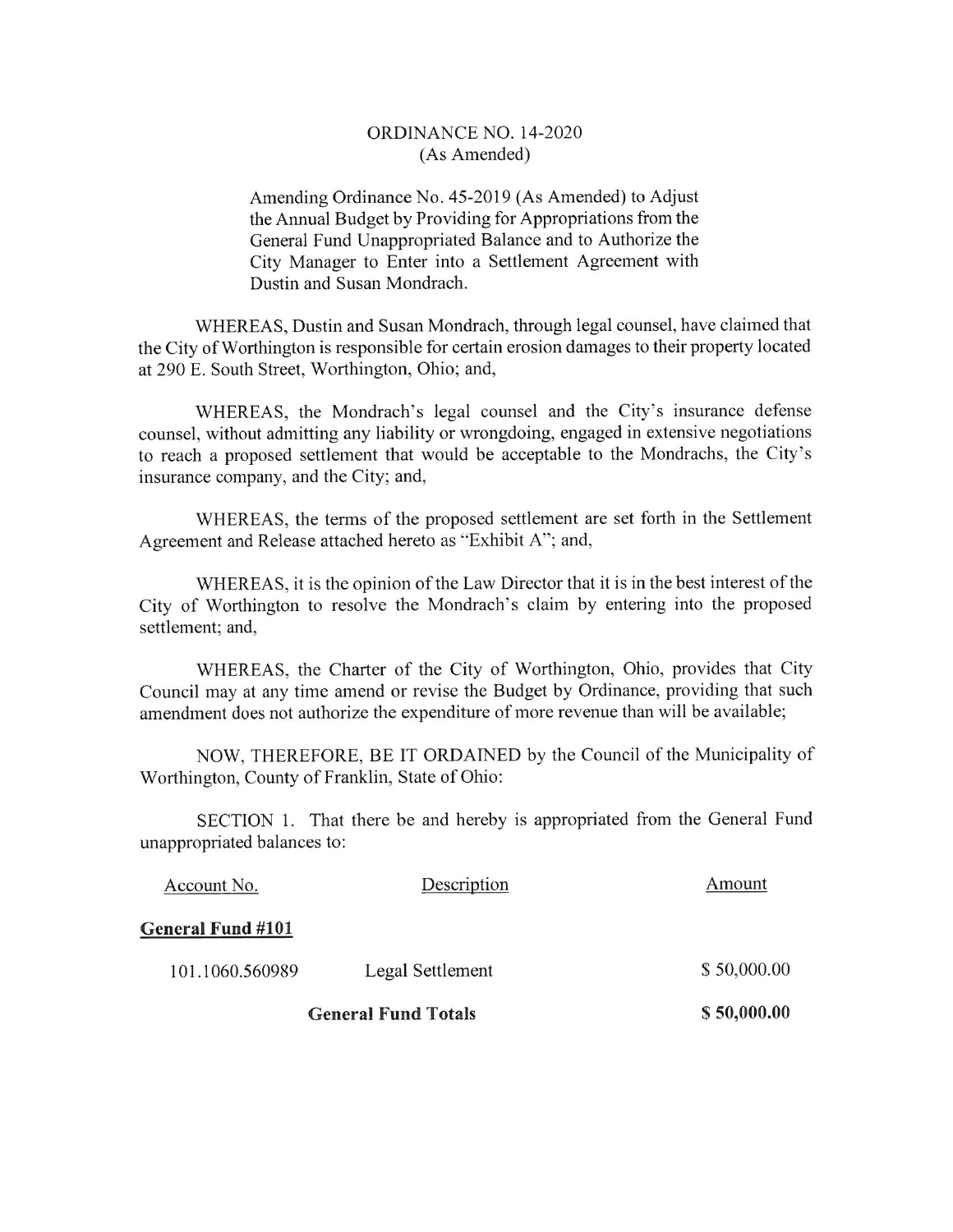## ORDINANCE NO. 14-2020 (As Amended)

Amending Ordinance No. 45-2019 (As Amended) to Adjust the Annual Budget by Providing for Appropriations from the General Fund Unappropriated Balance and to Authorize the City Manager to Enter into a Settlement Agreement with Dustin and Susan Mondrach.

WHEREAS, Dustin and Susan Mondrach, through legal counsel, have claimed that the City of Worthington is responsible for certain erosion damages to their property located at 290 E. South Street, Worthington, Ohio; and,

WHEREAS, the Mondrach's legal counsel and the City's insurance defense counsel, without admitting any liability or wrongdoing, engaged in extensive negotiations to reach a proposed settlement that would be acceptable to the Mondrachs, the City's insurance company, and the City; and,

WHEREAS, the terms of the proposed settlement are set forth in the Settlement Agreement and Release attached hereto as "Exhibit A"; and,

WHEREAS, it is the opinion of the Law Director that it is in the best interest of the City of Worthington to resolve the Mondrach's claim by entering into the proposed settlement; and,

WHEREAS, the Charter of the City of Worthington, Ohio, provides that City Council may at any time amend or revise the Budget by Ordinance, providing that such amendment does not authorize the expenditure of more revenue than will be available;

NOW, THEREFORE, BE IT ORDAINED by the Council of the Municipality of Worthington, County of Franklin, State of Ohio:

SECTION 1. That there be and hereby is appropriated from the General Fund unappropriated balances to:

| <b>General Fund Totals</b> |                  | \$50,000.00 |
|----------------------------|------------------|-------------|
| 101.1060.560989            | Legal Settlement | \$50,000.00 |
| General Fund #101          |                  |             |
| Account No.                | Description      | Amount      |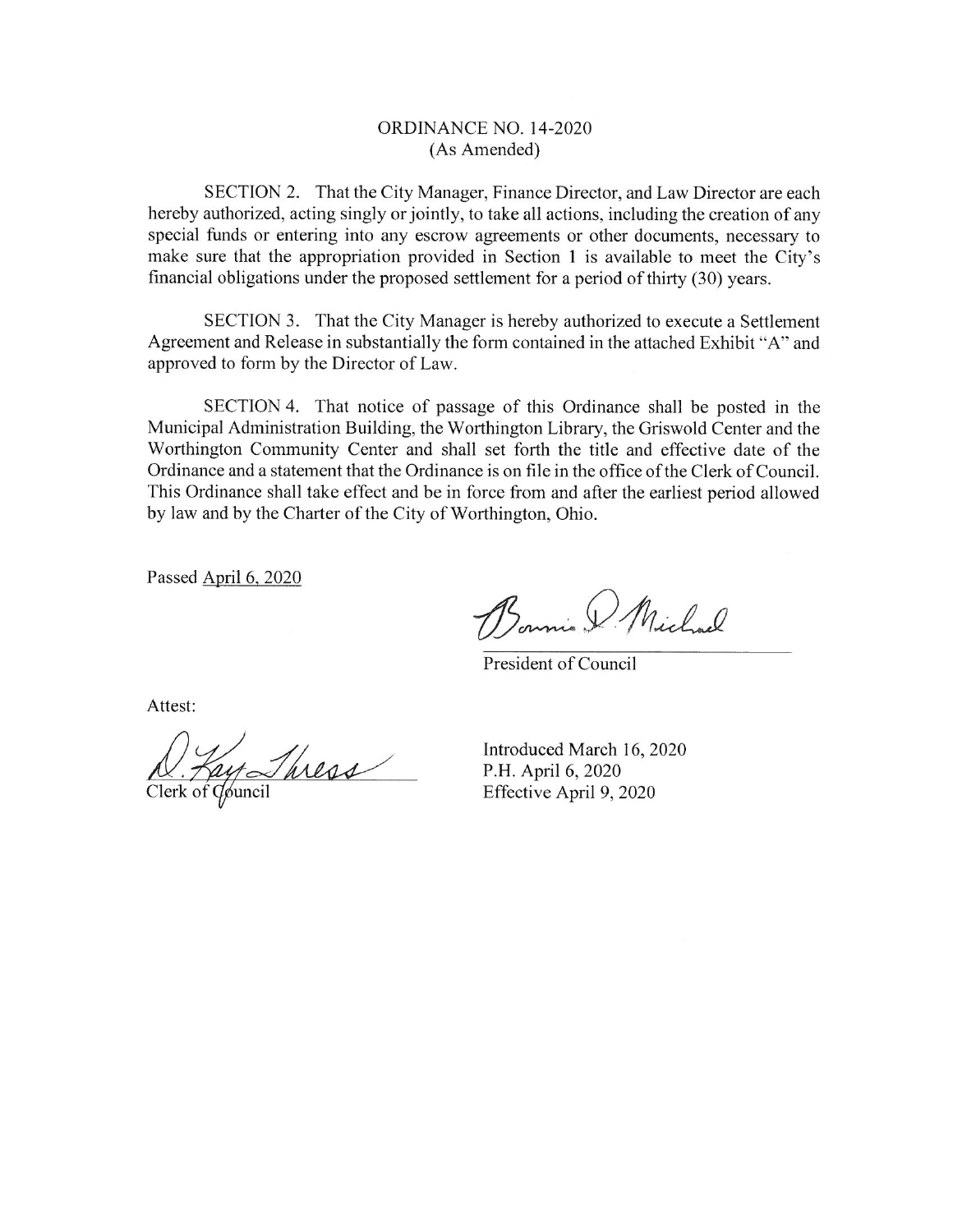### ORDINANCE NO. 14-2020 (As Amended)

SECTION 2. That the City Manager, Finance Director, and Law Director are each hereby authorized, acting singly or jointly, to take all actions, including the creation of any special funds or entering into any escrow agreements or other documents, necessary to make sure that the appropriation provided in Section 1 is available to meet the City's financial obligations under the proposed settlement for a period of thirty (30) years.

SECTION 3. That the City Manager is hereby authorized to execute a Settlement Agreement and Release in substantially the form contained in the attached Exhibit "A" and approved to form by the Director of Law.

SECTION 4. That notice of passage of this Ordinance shall be posted in the Municipal Administration Building, the Worthington Library, the Griswold Center and the Worthington Community Center and shall set forth the title and effective date of the Ordinance and a statement that the Ordinance is on file in the office of the Clerk of Council. This Ordinance shall take effect and be in force from and after the earliest period allowed by law and by the Charter of the City of Worthington, Ohio.

Passed April 6, 2020

Bonnie & Michael

President of Council

Attest:

Lay Thress

Introduced March 16, 2020 P.H. April 6, 2020 Effective April 9, 2020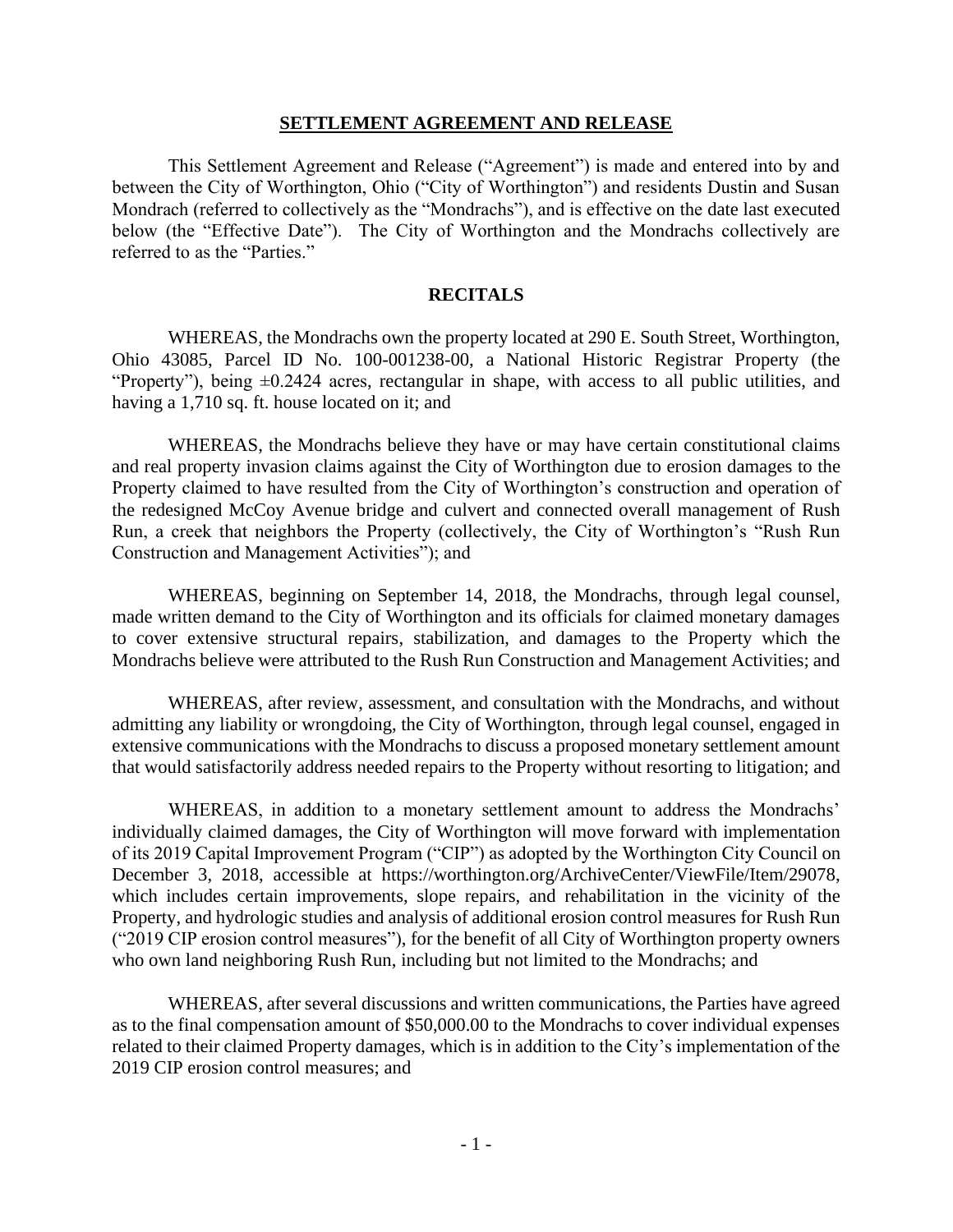#### **SETTLEMENT AGREEMENT AND RELEASE**

This Settlement Agreement and Release ("Agreement") is made and entered into by and between the City of Worthington, Ohio ("City of Worthington") and residents Dustin and Susan Mondrach (referred to collectively as the "Mondrachs"), and is effective on the date last executed below (the "Effective Date"). The City of Worthington and the Mondrachs collectively are referred to as the "Parties."

## **RECITALS**

WHEREAS, the Mondrachs own the property located at 290 E. South Street, Worthington, Ohio 43085, Parcel ID No. 100-001238-00, a National Historic Registrar Property (the "Property"), being  $\pm 0.2424$  acres, rectangular in shape, with access to all public utilities, and having a 1,710 sq. ft. house located on it; and

WHEREAS, the Mondrachs believe they have or may have certain constitutional claims and real property invasion claims against the City of Worthington due to erosion damages to the Property claimed to have resulted from the City of Worthington's construction and operation of the redesigned McCoy Avenue bridge and culvert and connected overall management of Rush Run, a creek that neighbors the Property (collectively, the City of Worthington's "Rush Run Construction and Management Activities"); and

WHEREAS, beginning on September 14, 2018, the Mondrachs, through legal counsel, made written demand to the City of Worthington and its officials for claimed monetary damages to cover extensive structural repairs, stabilization, and damages to the Property which the Mondrachs believe were attributed to the Rush Run Construction and Management Activities; and

WHEREAS, after review, assessment, and consultation with the Mondrachs, and without admitting any liability or wrongdoing, the City of Worthington, through legal counsel, engaged in extensive communications with the Mondrachs to discuss a proposed monetary settlement amount that would satisfactorily address needed repairs to the Property without resorting to litigation; and

WHEREAS, in addition to a monetary settlement amount to address the Mondrachs' individually claimed damages, the City of Worthington will move forward with implementation of its 2019 Capital Improvement Program ("CIP") as adopted by the Worthington City Council on December 3, 2018, accessible at https://worthington.org/ArchiveCenter/ViewFile/Item/29078, which includes certain improvements, slope repairs, and rehabilitation in the vicinity of the Property, and hydrologic studies and analysis of additional erosion control measures for Rush Run ("2019 CIP erosion control measures"), for the benefit of all City of Worthington property owners who own land neighboring Rush Run, including but not limited to the Mondrachs; and

WHEREAS, after several discussions and written communications, the Parties have agreed as to the final compensation amount of \$50,000.00 to the Mondrachs to cover individual expenses related to their claimed Property damages, which is in addition to the City's implementation of the 2019 CIP erosion control measures; and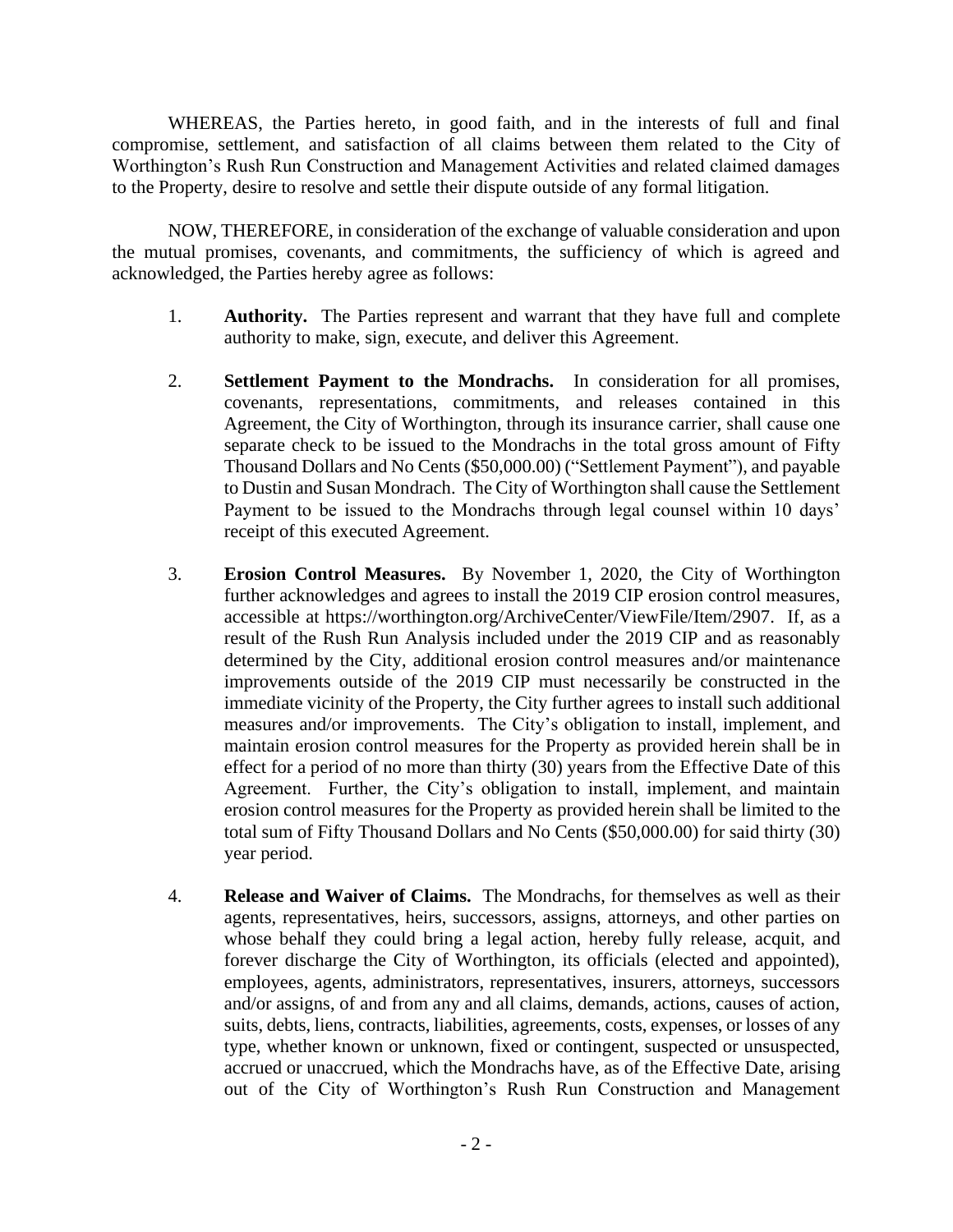WHEREAS, the Parties hereto, in good faith, and in the interests of full and final compromise, settlement, and satisfaction of all claims between them related to the City of Worthington's Rush Run Construction and Management Activities and related claimed damages to the Property, desire to resolve and settle their dispute outside of any formal litigation.

NOW, THEREFORE, in consideration of the exchange of valuable consideration and upon the mutual promises, covenants, and commitments, the sufficiency of which is agreed and acknowledged, the Parties hereby agree as follows:

- 1. **Authority.** The Parties represent and warrant that they have full and complete authority to make, sign, execute, and deliver this Agreement.
- 2. **Settlement Payment to the Mondrachs.** In consideration for all promises, covenants, representations, commitments, and releases contained in this Agreement, the City of Worthington, through its insurance carrier, shall cause one separate check to be issued to the Mondrachs in the total gross amount of Fifty Thousand Dollars and No Cents (\$50,000.00) ("Settlement Payment"), and payable to Dustin and Susan Mondrach. The City of Worthington shall cause the Settlement Payment to be issued to the Mondrachs through legal counsel within 10 days' receipt of this executed Agreement.
- 3. **Erosion Control Measures.** By November 1, 2020, the City of Worthington further acknowledges and agrees to install the 2019 CIP erosion control measures, accessible at https://worthington.org/ArchiveCenter/ViewFile/Item/2907. If, as a result of the Rush Run Analysis included under the 2019 CIP and as reasonably determined by the City, additional erosion control measures and/or maintenance improvements outside of the 2019 CIP must necessarily be constructed in the immediate vicinity of the Property, the City further agrees to install such additional measures and/or improvements. The City's obligation to install, implement, and maintain erosion control measures for the Property as provided herein shall be in effect for a period of no more than thirty (30) years from the Effective Date of this Agreement. Further, the City's obligation to install, implement, and maintain erosion control measures for the Property as provided herein shall be limited to the total sum of Fifty Thousand Dollars and No Cents (\$50,000.00) for said thirty (30) year period.
- 4. **Release and Waiver of Claims.** The Mondrachs, for themselves as well as their agents, representatives, heirs, successors, assigns, attorneys, and other parties on whose behalf they could bring a legal action, hereby fully release, acquit, and forever discharge the City of Worthington, its officials (elected and appointed), employees, agents, administrators, representatives, insurers, attorneys, successors and/or assigns, of and from any and all claims, demands, actions, causes of action, suits, debts, liens, contracts, liabilities, agreements, costs, expenses, or losses of any type, whether known or unknown, fixed or contingent, suspected or unsuspected, accrued or unaccrued, which the Mondrachs have, as of the Effective Date, arising out of the City of Worthington's Rush Run Construction and Management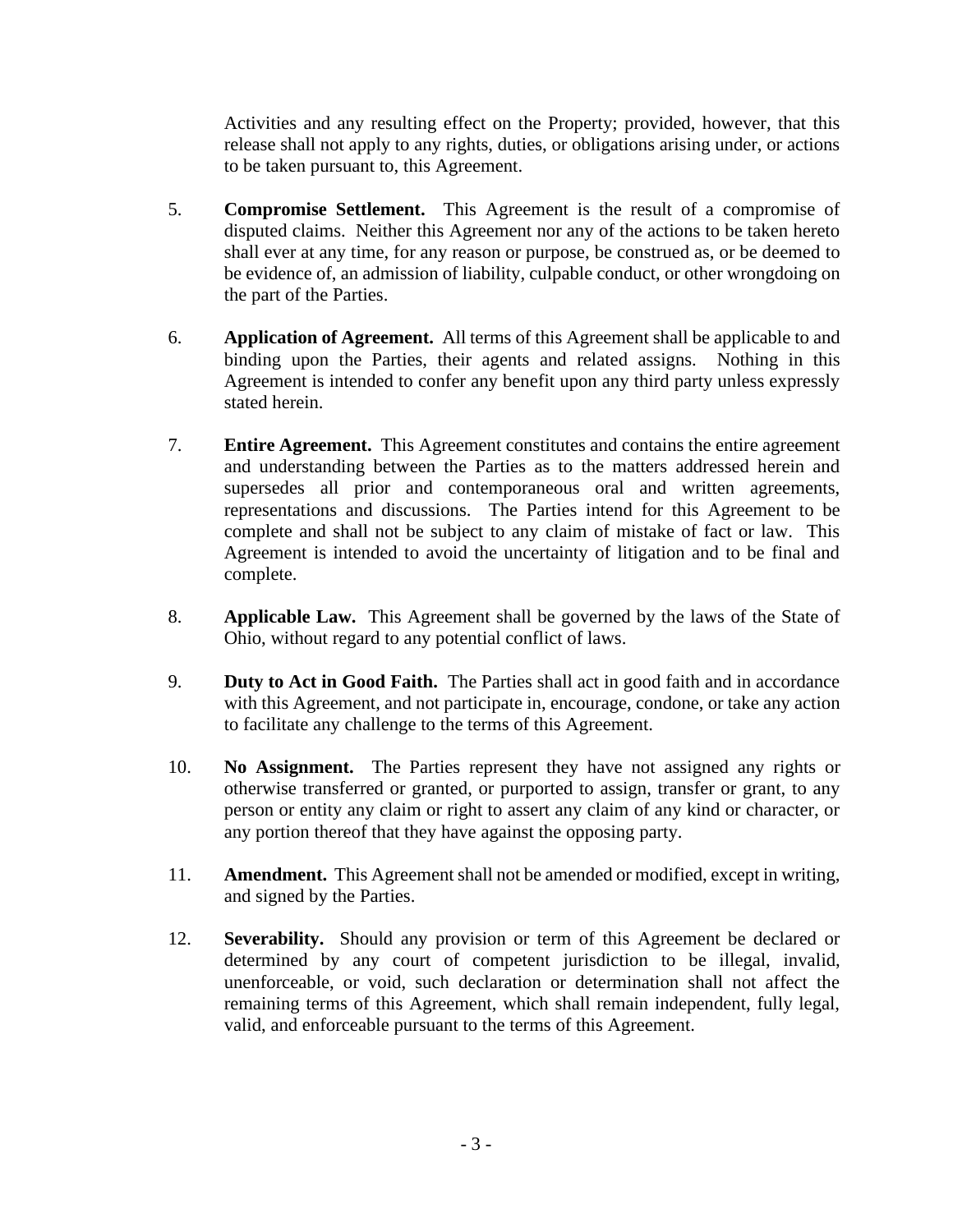Activities and any resulting effect on the Property; provided, however, that this release shall not apply to any rights, duties, or obligations arising under, or actions to be taken pursuant to, this Agreement.

- 5. **Compromise Settlement.** This Agreement is the result of a compromise of disputed claims. Neither this Agreement nor any of the actions to be taken hereto shall ever at any time, for any reason or purpose, be construed as, or be deemed to be evidence of, an admission of liability, culpable conduct, or other wrongdoing on the part of the Parties.
- 6. **Application of Agreement.** All terms of this Agreement shall be applicable to and binding upon the Parties, their agents and related assigns. Nothing in this Agreement is intended to confer any benefit upon any third party unless expressly stated herein.
- 7. **Entire Agreement.** This Agreement constitutes and contains the entire agreement and understanding between the Parties as to the matters addressed herein and supersedes all prior and contemporaneous oral and written agreements, representations and discussions. The Parties intend for this Agreement to be complete and shall not be subject to any claim of mistake of fact or law. This Agreement is intended to avoid the uncertainty of litigation and to be final and complete.
- 8. **Applicable Law.** This Agreement shall be governed by the laws of the State of Ohio, without regard to any potential conflict of laws.
- 9. **Duty to Act in Good Faith.** The Parties shall act in good faith and in accordance with this Agreement, and not participate in, encourage, condone, or take any action to facilitate any challenge to the terms of this Agreement.
- 10. **No Assignment.** The Parties represent they have not assigned any rights or otherwise transferred or granted, or purported to assign, transfer or grant, to any person or entity any claim or right to assert any claim of any kind or character, or any portion thereof that they have against the opposing party.
- 11. **Amendment.** This Agreement shall not be amended or modified, except in writing, and signed by the Parties.
- 12. **Severability.** Should any provision or term of this Agreement be declared or determined by any court of competent jurisdiction to be illegal, invalid, unenforceable, or void, such declaration or determination shall not affect the remaining terms of this Agreement, which shall remain independent, fully legal, valid, and enforceable pursuant to the terms of this Agreement.